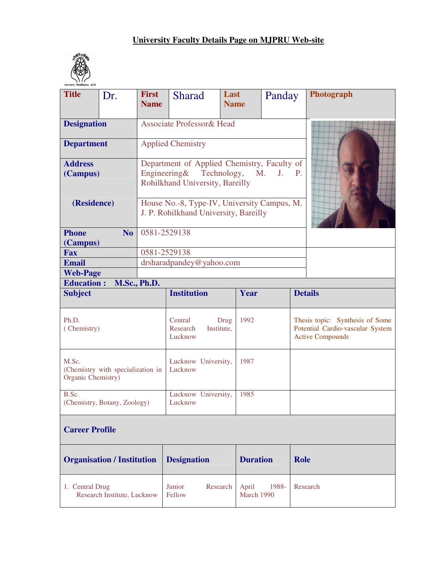# **University Faculty Details Page on MJPRU Web-site**



| रूहेलखण्ड विश्वविद्यालय, बरेली<br><b>Title</b>                   | <b>First</b>        |                                                                                      | Last                |              | Photograph                                                                                     |  |
|------------------------------------------------------------------|---------------------|--------------------------------------------------------------------------------------|---------------------|--------------|------------------------------------------------------------------------------------------------|--|
| Dr.                                                              | <b>Name</b>         | <b>Sharad</b>                                                                        | <b>Name</b>         | Panday       |                                                                                                |  |
|                                                                  |                     |                                                                                      |                     |              |                                                                                                |  |
| <b>Designation</b>                                               |                     | <b>Associate Professor&amp; Head</b>                                                 |                     |              |                                                                                                |  |
| <b>Department</b>                                                |                     | <b>Applied Chemistry</b>                                                             |                     |              |                                                                                                |  |
| <b>Address</b><br>(Campus)                                       | Engineering $&$     | Department of Applied Chemistry, Faculty of<br>Rohilkhand University, Bareilly       | Technology,<br>M.   | <b>J. P.</b> |                                                                                                |  |
| (Residence)                                                      |                     | House No.-8, Type-IV, University Campus, M.<br>J. P. Rohilkhand University, Bareilly |                     |              |                                                                                                |  |
| <b>Phone</b><br>N <sub>o</sub><br>(Campus)                       | 0581-2529138        |                                                                                      |                     |              |                                                                                                |  |
| <b>Fax</b>                                                       | 0581-2529138        |                                                                                      |                     |              |                                                                                                |  |
| <b>Email</b>                                                     |                     | drsharadpandey@yahoo.com                                                             |                     |              |                                                                                                |  |
| <b>Web-Page</b>                                                  |                     |                                                                                      |                     |              |                                                                                                |  |
| <b>Education:</b>                                                | <b>M.Sc., Ph.D.</b> |                                                                                      |                     |              |                                                                                                |  |
| <b>Subject</b>                                                   |                     | <b>Institution</b>                                                                   | Year                |              | <b>Details</b>                                                                                 |  |
| Ph.D.<br>(Chemistry)                                             |                     | Central<br>Research<br>Institute,<br>Lucknow                                         | 1992<br>Drug        |              | Thesis topic: Synthesis of Some<br>Potential Cardio-vascular System<br><b>Active Compounds</b> |  |
| M.Sc.<br>(Chemistry with specialization in<br>Organic Chemistry) |                     | Lucknow University,<br>Lucknow                                                       | 1987                |              |                                                                                                |  |
| B.Sc.<br>(Chemistry, Botany, Zoology)                            |                     | Lucknow University,<br>Lucknow                                                       | 1985                |              |                                                                                                |  |
| <b>Career Profile</b>                                            |                     |                                                                                      |                     |              |                                                                                                |  |
| <b>Organisation / Institution</b>                                |                     | <b>Designation</b>                                                                   | <b>Duration</b>     |              | <b>Role</b>                                                                                    |  |
| 1. Central Drug<br>Research Institute, Lucknow                   |                     | Junior<br>Research<br>Fellow                                                         | April<br>March 1990 | 1988-        | Research                                                                                       |  |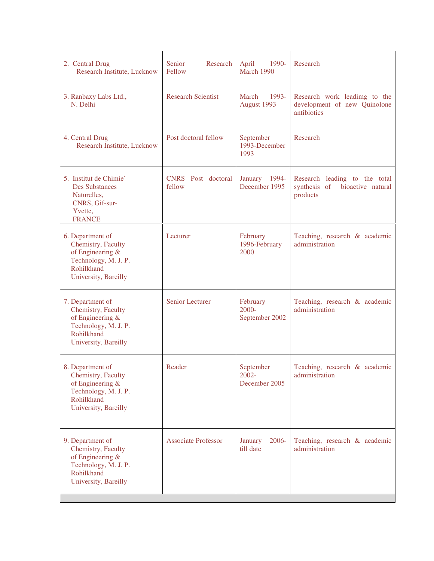| 2. Central Drug<br>Research Institute, Lucknow                                                                           | Senior<br>Research<br>Fellow | April<br>1990-<br>March 1990           | Research                                                                    |
|--------------------------------------------------------------------------------------------------------------------------|------------------------------|----------------------------------------|-----------------------------------------------------------------------------|
| 3. Ranbaxy Labs Ltd.,<br>N. Delhi                                                                                        | <b>Research Scientist</b>    | 1993-<br>March<br>August 1993          | Research work leading to the<br>development of new Quinolone<br>antibiotics |
| 4. Central Drug<br>Research Institute, Lucknow                                                                           | Post doctoral fellow         | September<br>1993-December<br>1993     | Research                                                                    |
| 5. Institut de Chimie`<br><b>Des Substances</b><br>Naturelles,<br>CNRS, Gif-sur-<br>Yvette,<br><b>FRANCE</b>             | CNRS Post doctoral<br>fellow | January 1994-<br>December 1995         | Research leading to the total<br>synthesis of bioactive natural<br>products |
| 6. Department of<br>Chemistry, Faculty<br>of Engineering &<br>Technology, M. J. P.<br>Rohilkhand<br>University, Bareilly | Lecturer                     | February<br>1996-February<br>2000      | Teaching, research & academic<br>administration                             |
| 7. Department of<br>Chemistry, Faculty<br>of Engineering &<br>Technology, M. J. P.<br>Rohilkhand<br>University, Bareilly | Senior Lecturer              | February<br>2000-<br>September 2002    | Teaching, research & academic<br>administration                             |
| 8. Department of<br>Chemistry, Faculty<br>of Engineering &<br>Technology, M. J. P.<br>Rohilkhand<br>University, Bareilly | Reader                       | September<br>$2002 -$<br>December 2005 | Teaching, research & academic<br>administration                             |
| 9. Department of<br>Chemistry, Faculty<br>of Engineering &<br>Technology, M. J. P.<br>Rohilkhand<br>University, Bareilly | <b>Associate Professor</b>   | $2006 -$<br>January<br>till date       | Teaching, research & academic<br>administration                             |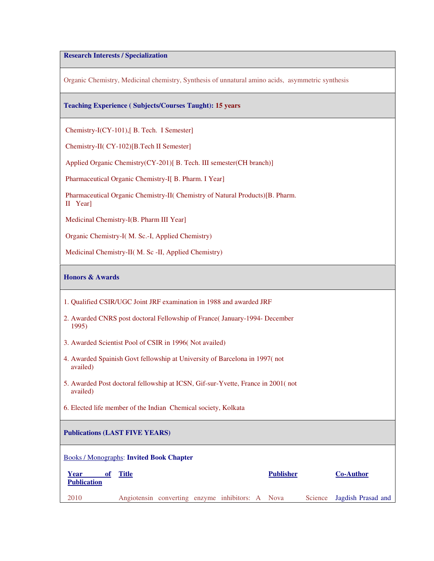# **Research Interests / Specialization**

Organic Chemistry, Medicinal chemistry, Synthesis of unnatural amino acids, asymmetric synthesis

# **Teaching Experience ( Subjects/Courses Taught): 15 years**

Chemistry-I(CY-101),[ B. Tech. I Semester]

Chemistry-II( CY-102)[B.Tech II Semester]

Applied Organic Chemistry(CY-201)[ B. Tech. III semester(CH branch)]

Pharmaceutical Organic Chemistry-I[ B. Pharm. I Year]

 Pharmaceutical Organic Chemistry-II( Chemistry of Natural Products)[B. Pharm. II Year]

Medicinal Chemistry-I(B. Pharm III Year]

Organic Chemistry-I( M. Sc.-I, Applied Chemistry)

Medicinal Chemistry-II( M. Sc -II, Applied Chemistry)

# **Honors & Awards**

- 2. Awarded CNRS post doctoral Fellowship of France( January-1994- December 1995)
- 3. Awarded Scientist Pool of CSIR in 1996( Not availed)
- 4. Awarded Spainish Govt fellowship at University of Barcelona in 1997( not availed)
- 5. Awarded Post doctoral fellowship at ICSN, Gif-sur-Yvette, France in 2001( not availed)
- 6. Elected life member of the Indian Chemical society, Kolkata

# **Publications (LAST FIVE YEARS)**

#### Books / Monographs: **Invited Book Chapter**

| Year<br><b>Publication</b> | Title                                            |  |  | <b>Publisher</b> | <b>Co-Author</b>           |
|----------------------------|--------------------------------------------------|--|--|------------------|----------------------------|
| 2010                       | Angiotensin converting enzyme inhibitors: A Nova |  |  |                  | Science Jagdish Prasad and |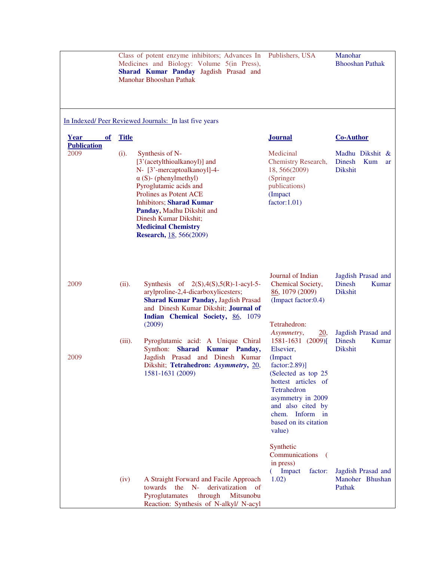|                                        |              | Class of potent enzyme inhibitors; Advances In Publishers, USA<br>Medicines and Biology: Volume 5(in Press),<br>Sharad Kumar Panday Jagdish Prasad and<br>Manohar Bhooshan Pathak                                                                                                                                           |                                                                                                                                                                                                                                               | Manohar<br><b>Bhooshan Pathak</b>                                      |
|----------------------------------------|--------------|-----------------------------------------------------------------------------------------------------------------------------------------------------------------------------------------------------------------------------------------------------------------------------------------------------------------------------|-----------------------------------------------------------------------------------------------------------------------------------------------------------------------------------------------------------------------------------------------|------------------------------------------------------------------------|
|                                        |              | In Indexed/Peer Reviewed Journals: In last five years                                                                                                                                                                                                                                                                       |                                                                                                                                                                                                                                               |                                                                        |
| Year<br>$\Omega$<br><b>Publication</b> | <b>Title</b> |                                                                                                                                                                                                                                                                                                                             | <b>Journal</b>                                                                                                                                                                                                                                | <b>Co-Author</b>                                                       |
| 2009                                   | (i).         | Synthesis of N-<br>[3'(acetylthioalkanoyl)] and<br>N- [3'-mercaptoalkanoyl]-4-<br>$\alpha$ (S)- (phenylmethyl)<br>Pyroglutamic acids and<br>Prolines as Potent ACE<br><b>Inhibitors; Sharad Kumar</b><br>Panday, Madhu Dikshit and<br>Dinesh Kumar Dikshit;<br><b>Medicinal Chemistry</b><br><b>Research, 18, 566(2009)</b> | Medicinal<br>Chemistry Research,<br>18, 566(2009)<br>(Springer<br>publications)<br>(Impact<br>factor: 1.01)                                                                                                                                   | Madhu Dikshit &<br>Dinesh<br><b>Kum</b><br><b>ar</b><br><b>Dikshit</b> |
| 2009                                   | (ii).        | Synthesis of $2(S), 4(S), 5(R)$ -1-acyl-5-<br>arylproline-2,4-dicarboxylicesters;<br><b>Sharad Kumar Panday, Jagdish Prasad</b><br>and Dinesh Kumar Dikshit; Journal of<br>Indian Chemical Society, 86, 1079<br>(2009)                                                                                                      | Journal of Indian<br>Chemical Society,<br>86, 1079 (2009)<br>(Impact factor:0.4)<br>Tetrahedron:                                                                                                                                              | Jagdish Prasad and<br><b>Dinesh</b><br>Kumar<br><b>Dikshit</b>         |
| 2009                                   | (iii).       | Pyroglutamic acid: A Unique Chiral<br>Synthon: Sharad Kumar Panday,<br>Jagdish Prasad and Dinesh Kumar<br>Dikshit; Tetrahedron: Asymmetry, 20,<br>1581-1631 (2009)                                                                                                                                                          | Asymmetry,<br>20,<br>1581-1631 (2009)[<br>Elsevier,<br>(Impact<br>factor: 2.89)]<br>(Selected as top 25<br>hottest articles of<br>Tetrahedron<br>asymmetry in 2009<br>and also cited by<br>chem. Inform in<br>based on its citation<br>value) | Jagdish Prasad and<br><b>Dinesh</b><br>Kumar<br><b>Dikshit</b>         |
|                                        | (iv)         | A Straight Forward and Facile Approach<br>$N-$<br>towards<br>the<br>derivatization<br>of<br>Pyroglutamates<br>through<br>Mitsunobu<br>Reaction: Synthesis of N-alkyl/ N-acyl                                                                                                                                                | Synthetic<br>Communications<br>$\left($<br>in press)<br>Impact<br>factor:<br>1.02)                                                                                                                                                            | Jagdish Prasad and<br>Manoher Bhushan<br>Pathak                        |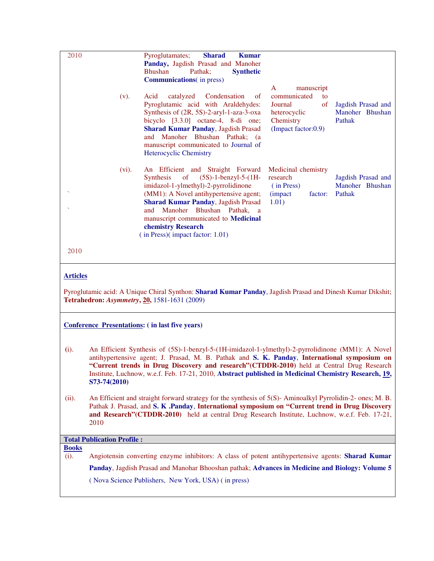| 2010<br>(v).                                                    | Pyroglutamates;<br><b>Sharad</b><br><b>Kumar</b><br>Panday, Jagdish Prasad and Manoher<br><b>Bhushan</b><br>Pathak:<br><b>Synthetic</b><br><b>Communications</b> (in press)<br>Condensation<br>Acid<br>catalyzed<br>$\alpha$ f<br>Pyroglutamic acid with Araldehydes:<br>Synthesis of (2R, 5S)-2-aryl-1-aza-3-oxa<br>bicyclo $[3.3.0]$ octane-4, 8-di one;<br><b>Sharad Kumar Panday, Jagdish Prasad</b><br>and Manoher Bhushan Pathak; (a<br>manuscript communicated to Journal of<br>Heterocyclic Chemistry | $\mathsf{A}$<br>manuscript<br>communicated<br>to<br>of<br>Journal<br>heterocyclic<br>Chemistry<br>(Impact factor:0.9) | Jagdish Prasad and<br>Manoher Bhushan<br>Pathak |
|-----------------------------------------------------------------|---------------------------------------------------------------------------------------------------------------------------------------------------------------------------------------------------------------------------------------------------------------------------------------------------------------------------------------------------------------------------------------------------------------------------------------------------------------------------------------------------------------|-----------------------------------------------------------------------------------------------------------------------|-------------------------------------------------|
| $(vi)$ .                                                        | An Efficient and Straight Forward<br>$(5S)-1$ -benzyl-5- $(1H-$<br><b>Synthesis</b><br>of<br>imidazol-1-ylmethyl)-2-pyrrolidinone<br>(MM1): A Novel antihypertensive agent;<br><b>Sharad Kumar Panday, Jagdish Prasad</b><br>Manoher<br>Bhushan Pathak, a<br>and<br>manuscript communicated to Medicinal<br>chemistry Research<br>$($ in Press $)($ impact factor: 1.01 $)$                                                                                                                                   | Medicinal chemistry<br>research<br>(in Press)<br><i>(impact)</i><br>factor:<br>1.01)                                  | Jagdish Prasad and<br>Manoher Bhushan<br>Pathak |
| 2010                                                            |                                                                                                                                                                                                                                                                                                                                                                                                                                                                                                               |                                                                                                                       |                                                 |
| <b>Articles</b><br>Tetrahedron: Asymmetry, 20, 1581-1631 (2009) | Pyroglutamic acid: A Unique Chiral Synthon: Sharad Kumar Panday, Jagdish Prasad and Dinesh Kumar Dikshit;                                                                                                                                                                                                                                                                                                                                                                                                     |                                                                                                                       |                                                 |

# **Conference Presentations: ( in last five years)**

- **(**i). An Efficient Synthesis of (5S)-1-benzyl-5-(1H-imidazol-1-ylmethyl)-2-pyrrolidinone (MM1): A Novel antihypertensive agent; J. Prasad, M. B. Pathak and **S. K. Panday**, **International symposium on "Current trends in Drug Discovery and research"(CTDDR-2010)** held at Central Drug Research Institute, Luchnow, w.e.f. Feb. 17-21, 2010, **Abstract published in Medicinal Chemistry Research, 19, S73-74(2010)**
- (ii). An Efficient and straight forward strategy for the synthesis of 5(S)- Aminoalkyl Pyrrolidin-2- ones; M. B. Pathak J. Prasad, and **S. K .Panday**, **International symposium on "Current trend in Drug Discovery and Research"(CTDDR-2010)** held at central Drug Research Institute, Luchnow, w.e.f. Feb. 17-21, 2010

# **Total Publication Profile :**

**Books**

(i). Angiotensin converting enzyme inhibitors: A class of potent antihypertensive agents: **Sharad Kumar Panday**, Jagdish Prasad and Manohar Bhooshan pathak; **Advances in Medicine and Biology: Volume 5** ( Nova Science Publishers, New York, USA) ( in press)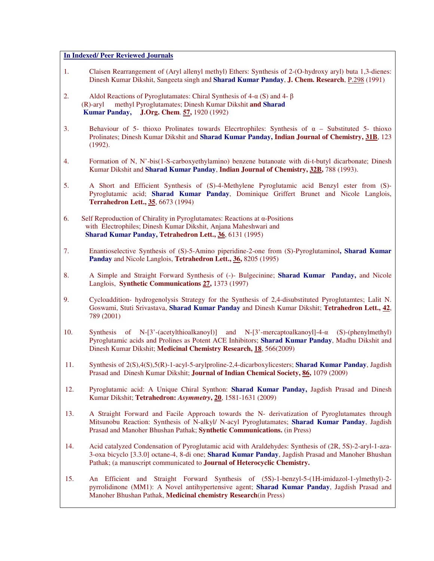# **In Indexed/ Peer Reviewed Journals**

- 1. Claisen Rearrangement of (Aryl allenyl methyl) Ethers: Synthesis of 2-(O-hydroxy aryl) buta 1,3-dienes: Dinesh Kumar Dikshit, Sangeeta singh and **Sharad Kumar Panday**, **J. Chem. Research**, P.298 (1991)
- 2. Aldol Reactions of Pyroglutamates: Chiral Synthesis of 4- $\alpha$  (S) and 4- $\beta$  (R)-aryl methyl Pyroglutamates; Dinesh Kumar Dikshit **and Sharad Kumar Panday, J.Org. Chem**. **57,** 1920 (1992)
- 3. Behaviour of 5- thioxo Prolinates towards Elecrtrophiles: Synthesis of  $\alpha$  Substituted 5- thioxo Prolinates; Dinesh Kumar Dikshit and **Sharad Kumar Panday, Indian Journal of Chemistry, 31B**, 123 (1992).
- 4. Formation of N, N'-bis(1-S-carboxyethylamino) benzene butanoate with di-t-butyl dicarbonate; Dinesh Kumar Dikshit and **Sharad Kumar Panday**, **Indian Journal of Chemistry, 32B,** 788 (1993).
- 5. A Short and Efficient Synthesis of (S)-4-Methylene Pyroglutamic acid Benzyl ester from (S)- Pyroglutamic acid; **Sharad Kumar Panday**, Dominique Griffert Brunet and Nicole Langlois, **Terrahedron Lett., 35**, 6673 (1994)
- 6. Self Reproduction of Chirality in Pyroglutamates: Reactions at α-Positions with Electrophiles; Dinesh Kumar Dikshit, Anjana Maheshwari and **Sharad Kumar Panday, Tetrahedron Lett., 36**, 6131 (1995)
- 7. Enantioselective Synthesis of (S)-5-Amino piperidine-2-one from (S)-Pyroglutaminol**, Sharad Kumar Panday** and Nicole Langlois, **Tetrahedron Lett., 36,** 8205 (1995)
- 8. A Simple and Straight Forward Synthesis of (-)- Bulgecinine; **Sharad Kumar Panday,** and Nicole Langlois, **Synthetic Communications 27,** 1373 (1997)
- 9. Cycloaddition- hydrogenolysis Strategy for the Synthesis of 2,4-disubstituted Pyroglutamtes; Lalit N. Goswami, Stuti Srivastava, **Sharad Kumar Panday** and Dinesh Kumar Dikshit; **Tetrahedron Lett., 42**, 789 (2001)
- 10. Synthesis of N-[3'-(acetylthioalkanoyl)] and N-[3'-mercaptoalkanoyl]-4-α (S)-(phenylmethyl) Pyroglutamic acids and Prolines as Potent ACE Inhibitors; **Sharad Kumar Panday**, Madhu Dikshit and Dinesh Kumar Dikshit; **Medicinal Chemistry Research, 18**, 566(2009)
- 11. Synthesis of 2(S),4(S),5(R)-1-acyl-5-arylproline-2,4-dicarboxylicesters; **Sharad Kumar Panday**, Jagdish Prasad and Dinesh Kumar Dikshit; **Journal of Indian Chemical Society, 86,** 1079 (2009)
- 12. Pyroglutamic acid: A Unique Chiral Synthon: **Sharad Kumar Panday,** Jagdish Prasad and Dinesh Kumar Dikshit; **Tetrahedron:** *Asymmetry***, 20**, 1581-1631 (2009)
- 13. A Straight Forward and Facile Approach towards the N- derivatization of Pyroglutamates through Mitsunobu Reaction: Synthesis of N-alkyl/ N-acyl Pyroglutamates; **Sharad Kumar Panday**, Jagdish Prasad and Manoher Bhushan Pathak; **Synthetic Communications.** (in Press)
- 14. Acid catalyzed Condensation of Pyroglutamic acid with Araldehydes: Synthesis of (2R, 5S)-2-aryl-1-aza-3-oxa bicyclo [3.3.0] octane-4, 8-di one; **Sharad Kumar Panday**, Jagdish Prasad and Manoher Bhushan Pathak; (a manuscript communicated to **Journal of Heterocyclic Chemistry.**
- 15. An Efficient and Straight Forward Synthesis of (5S)-1-benzyl-5-(1H-imidazol-1-ylmethyl)-2 pyrrolidinone (MM1): A Novel antihypertensive agent; **Sharad Kumar Panday**, Jagdish Prasad and Manoher Bhushan Pathak, **Medicinal chemistry Research**(in Press)